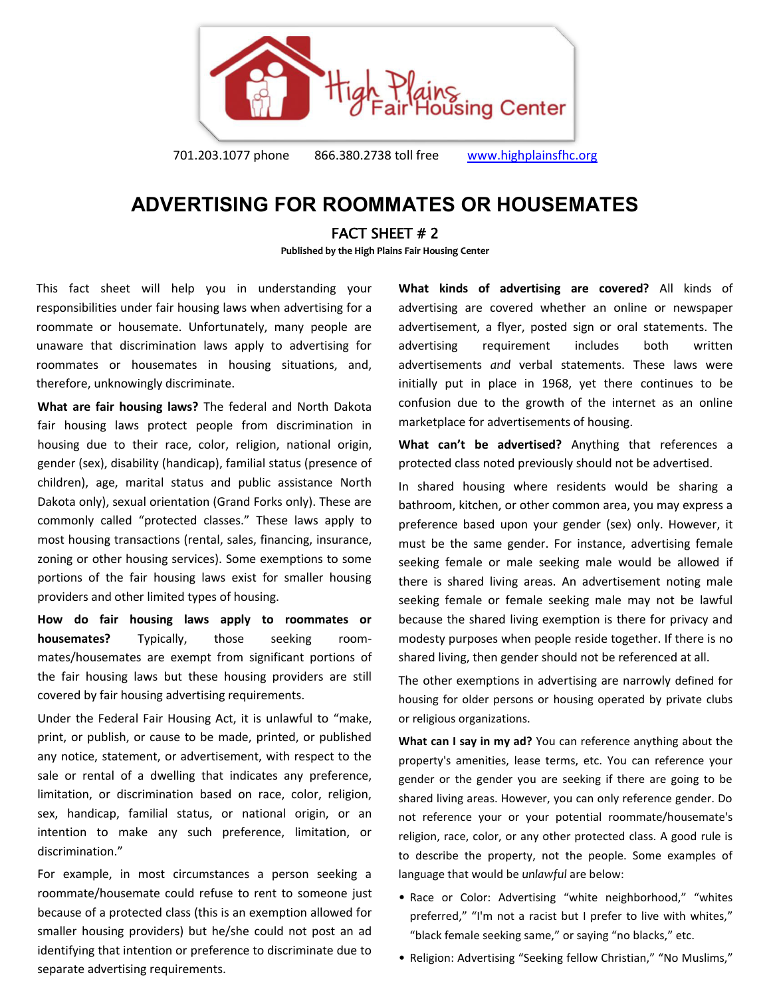

701.203.1077 phone 866.380.2738 toll free [www.highplainsfhc.org](http://www.highplainsfhc.org/)

## **ADVERTISING FOR ROOMMATES OR HOUSEMATES**

## FACT SHEET # 2

**Published by the High Plains Fair Housing Center** 

This fact sheet will help you in understanding your responsibilities under fair housing laws when advertising for a roommate or housemate. Unfortunately, many people are unaware that discrimination laws apply to advertising for roommates or housemates in housing situations, and, therefore, unknowingly discriminate.

**What are fair housing laws?** The federal and North Dakota fair housing laws protect people from discrimination in housing due to their race, color, religion, national origin, gender (sex), disability (handicap), familial status (presence of children), age, marital status and public assistance North Dakota only), sexual orientation (Grand Forks only). These are commonly called "protected classes." These laws apply to most housing transactions (rental, sales, financing, insurance, zoning or other housing services). Some exemptions to some portions of the fair housing laws exist for smaller housing providers and other limited types of housing.

**How do fair housing laws apply to roommates or housemates?** Typically, those seeking roommates/housemates are exempt from significant portions of the fair housing laws but these housing providers are still covered by fair housing advertising requirements.

Under the Federal Fair Housing Act, it is unlawful to "make, print, or publish, or cause to be made, printed, or published any notice, statement, or advertisement, with respect to the sale or rental of a dwelling that indicates any preference, limitation, or discrimination based on race, color, religion, sex, handicap, familial status, or national origin, or an intention to make any such preference, limitation, or discrimination."

For example, in most circumstances a person seeking a roommate/housemate could refuse to rent to someone just because of a protected class (this is an exemption allowed for smaller housing providers) but he/she could not post an ad identifying that intention or preference to discriminate due to separate advertising requirements.

**What kinds of advertising are covered?** All kinds of advertising are covered whether an online or newspaper advertisement, a flyer, posted sign or oral statements. The advertising requirement includes both written advertisements *and* verbal statements. These laws were initially put in place in 1968, yet there continues to be confusion due to the growth of the internet as an online marketplace for advertisements of housing.

**What can't be advertised?** Anything that references a protected class noted previously should not be advertised.

In shared housing where residents would be sharing a bathroom, kitchen, or other common area, you may express a preference based upon your gender (sex) only. However, it must be the same gender. For instance, advertising female seeking female or male seeking male would be allowed if there is shared living areas. An advertisement noting male seeking female or female seeking male may not be lawful because the shared living exemption is there for privacy and modesty purposes when people reside together. If there is no shared living, then gender should not be referenced at all.

The other exemptions in advertising are narrowly defined for housing for older persons or housing operated by private clubs or religious organizations.

**What can I say in my ad?** You can reference anything about the property's amenities, lease terms, etc. You can reference your gender or the gender you are seeking if there are going to be shared living areas. However, you can only reference gender. Do not reference your or your potential roommate/housemate's religion, race, color, or any other protected class. A good rule is to describe the property, not the people. Some examples of language that would be *unlawful* are below:

- Race or Color: Advertising "white neighborhood," "whites preferred," "I'm not a racist but I prefer to live with whites," "black female seeking same," or saying "no blacks," etc.
- Religion: Advertising "Seeking fellow Christian," "No Muslims,"